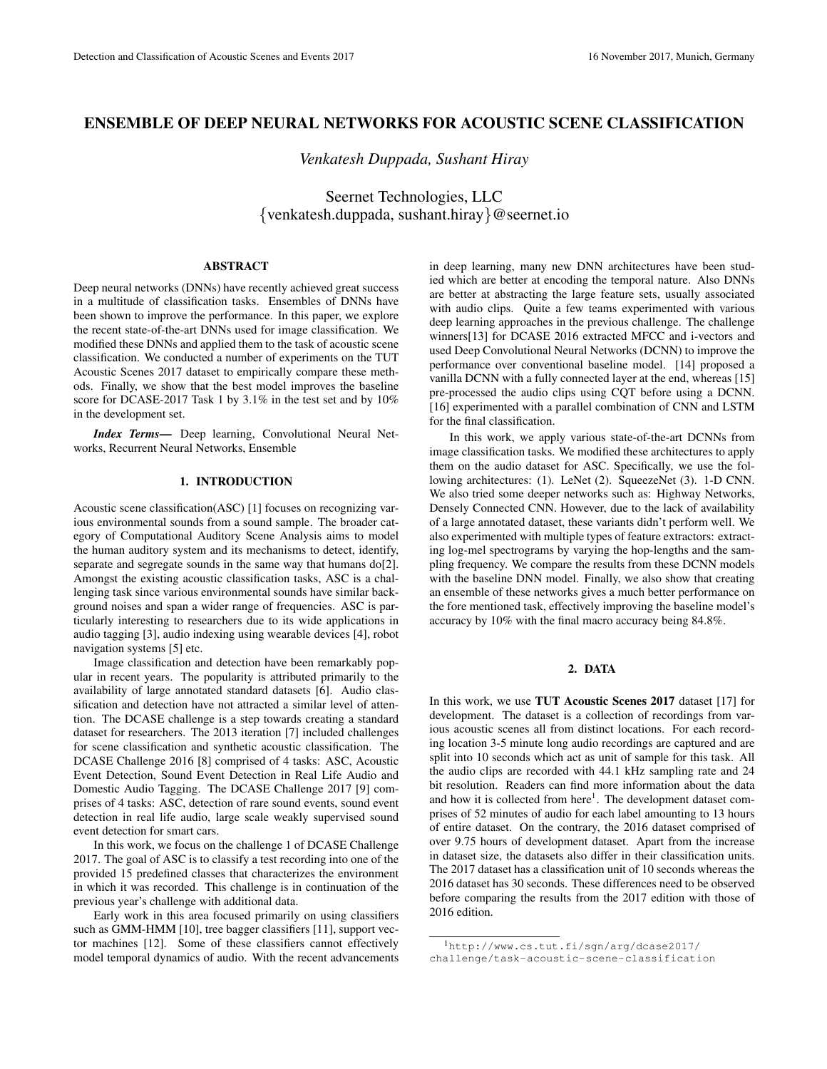# ENSEMBLE OF DEEP NEURAL NETWORKS FOR ACOUSTIC SCENE CLASSIFICATION

*Venkatesh Duppada, Sushant Hiray*

Seernet Technologies, LLC {venkatesh.duppada, sushant.hiray}@seernet.io

## ABSTRACT

Deep neural networks (DNNs) have recently achieved great success in a multitude of classification tasks. Ensembles of DNNs have been shown to improve the performance. In this paper, we explore the recent state-of-the-art DNNs used for image classification. We modified these DNNs and applied them to the task of acoustic scene classification. We conducted a number of experiments on the TUT Acoustic Scenes 2017 dataset to empirically compare these methods. Finally, we show that the best model improves the baseline score for DCASE-2017 Task 1 by 3.1% in the test set and by 10% in the development set.

*Index Terms*— Deep learning, Convolutional Neural Networks, Recurrent Neural Networks, Ensemble

### 1. INTRODUCTION

Acoustic scene classification(ASC) [1] focuses on recognizing various environmental sounds from a sound sample. The broader category of Computational Auditory Scene Analysis aims to model the human auditory system and its mechanisms to detect, identify, separate and segregate sounds in the same way that humans do[2]. Amongst the existing acoustic classification tasks, ASC is a challenging task since various environmental sounds have similar background noises and span a wider range of frequencies. ASC is particularly interesting to researchers due to its wide applications in audio tagging [3], audio indexing using wearable devices [4], robot navigation systems [5] etc.

Image classification and detection have been remarkably popular in recent years. The popularity is attributed primarily to the availability of large annotated standard datasets [6]. Audio classification and detection have not attracted a similar level of attention. The DCASE challenge is a step towards creating a standard dataset for researchers. The 2013 iteration [7] included challenges for scene classification and synthetic acoustic classification. The DCASE Challenge 2016 [8] comprised of 4 tasks: ASC, Acoustic Event Detection, Sound Event Detection in Real Life Audio and Domestic Audio Tagging. The DCASE Challenge 2017 [9] comprises of 4 tasks: ASC, detection of rare sound events, sound event detection in real life audio, large scale weakly supervised sound event detection for smart cars.

In this work, we focus on the challenge 1 of DCASE Challenge 2017. The goal of ASC is to classify a test recording into one of the provided 15 predefined classes that characterizes the environment in which it was recorded. This challenge is in continuation of the previous year's challenge with additional data.

Early work in this area focused primarily on using classifiers such as GMM-HMM [10], tree bagger classifiers [11], support vector machines [12]. Some of these classifiers cannot effectively model temporal dynamics of audio. With the recent advancements in deep learning, many new DNN architectures have been studied which are better at encoding the temporal nature. Also DNNs are better at abstracting the large feature sets, usually associated with audio clips. Quite a few teams experimented with various deep learning approaches in the previous challenge. The challenge winners[13] for DCASE 2016 extracted MFCC and i-vectors and used Deep Convolutional Neural Networks (DCNN) to improve the performance over conventional baseline model. [14] proposed a vanilla DCNN with a fully connected layer at the end, whereas [15] pre-processed the audio clips using CQT before using a DCNN. [16] experimented with a parallel combination of CNN and LSTM for the final classification.

In this work, we apply various state-of-the-art DCNNs from image classification tasks. We modified these architectures to apply them on the audio dataset for ASC. Specifically, we use the following architectures: (1). LeNet (2). SqueezeNet (3). 1-D CNN. We also tried some deeper networks such as: Highway Networks, Densely Connected CNN. However, due to the lack of availability of a large annotated dataset, these variants didn't perform well. We also experimented with multiple types of feature extractors: extracting log-mel spectrograms by varying the hop-lengths and the sampling frequency. We compare the results from these DCNN models with the baseline DNN model. Finally, we also show that creating an ensemble of these networks gives a much better performance on the fore mentioned task, effectively improving the baseline model's accuracy by 10% with the final macro accuracy being 84.8%.

# 2. DATA

In this work, we use **TUT Acoustic Scenes 2017** dataset [17] for development. The dataset is a collection of recordings from various acoustic scenes all from distinct locations. For each recording location 3-5 minute long audio recordings are captured and are split into 10 seconds which act as unit of sample for this task. All the audio clips are recorded with 44.1 kHz sampling rate and 24 bit resolution. Readers can find more information about the data and how it is collected from here<sup>1</sup>. The development dataset comprises of 52 minutes of audio for each label amounting to 13 hours of entire dataset. On the contrary, the 2016 dataset comprised of over 9.75 hours of development dataset. Apart from the increase in dataset size, the datasets also differ in their classification units. The 2017 dataset has a classification unit of 10 seconds whereas the 2016 dataset has 30 seconds. These differences need to be observed before comparing the results from the 2017 edition with those of 2016 edition.

<sup>1</sup>http://www.cs.tut.fi/sgn/arg/dcase2017/ challenge/task-acoustic-scene-classification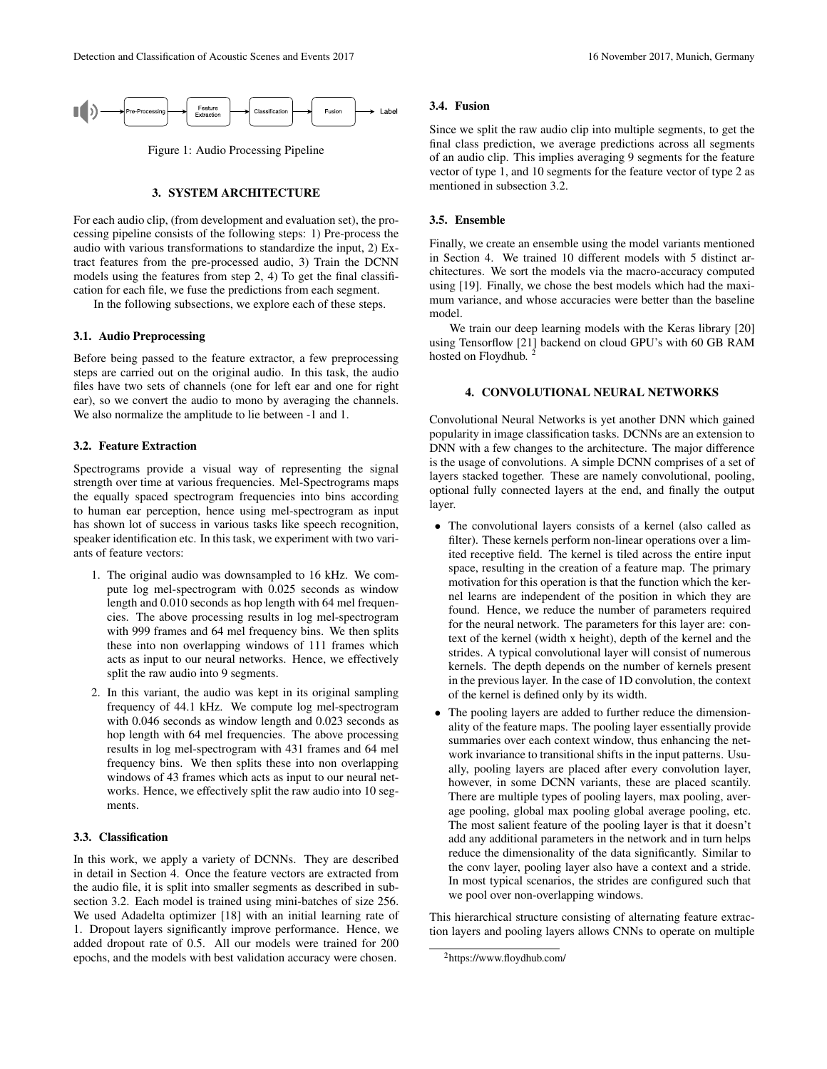

Figure 1: Audio Processing Pipeline

## 3. SYSTEM ARCHITECTURE

For each audio clip, (from development and evaluation set), the processing pipeline consists of the following steps: 1) Pre-process the audio with various transformations to standardize the input, 2) Extract features from the pre-processed audio, 3) Train the DCNN models using the features from step 2, 4) To get the final classification for each file, we fuse the predictions from each segment.

In the following subsections, we explore each of these steps.

### 3.1. Audio Preprocessing

Before being passed to the feature extractor, a few preprocessing steps are carried out on the original audio. In this task, the audio files have two sets of channels (one for left ear and one for right ear), so we convert the audio to mono by averaging the channels. We also normalize the amplitude to lie between -1 and 1.

## 3.2. Feature Extraction

Spectrograms provide a visual way of representing the signal strength over time at various frequencies. Mel-Spectrograms maps the equally spaced spectrogram frequencies into bins according to human ear perception, hence using mel-spectrogram as input has shown lot of success in various tasks like speech recognition, speaker identification etc. In this task, we experiment with two variants of feature vectors:

- 1. The original audio was downsampled to 16 kHz. We compute log mel-spectrogram with 0.025 seconds as window length and 0.010 seconds as hop length with 64 mel frequencies. The above processing results in log mel-spectrogram with 999 frames and 64 mel frequency bins. We then splits these into non overlapping windows of 111 frames which acts as input to our neural networks. Hence, we effectively split the raw audio into 9 segments.
- 2. In this variant, the audio was kept in its original sampling frequency of 44.1 kHz. We compute log mel-spectrogram with 0.046 seconds as window length and 0.023 seconds as hop length with 64 mel frequencies. The above processing results in log mel-spectrogram with 431 frames and 64 mel frequency bins. We then splits these into non overlapping windows of 43 frames which acts as input to our neural networks. Hence, we effectively split the raw audio into 10 segments.

## 3.3. Classification

In this work, we apply a variety of DCNNs. They are described in detail in Section 4. Once the feature vectors are extracted from the audio file, it is split into smaller segments as described in subsection 3.2. Each model is trained using mini-batches of size 256. We used Adadelta optimizer [18] with an initial learning rate of 1. Dropout layers significantly improve performance. Hence, we added dropout rate of 0.5. All our models were trained for 200 epochs, and the models with best validation accuracy were chosen.

### 3.4. Fusion

Since we split the raw audio clip into multiple segments, to get the final class prediction, we average predictions across all segments of an audio clip. This implies averaging 9 segments for the feature vector of type 1, and 10 segments for the feature vector of type 2 as mentioned in subsection 3.2.

## 3.5. Ensemble

Finally, we create an ensemble using the model variants mentioned in Section 4. We trained 10 different models with 5 distinct architectures. We sort the models via the macro-accuracy computed using [19]. Finally, we chose the best models which had the maximum variance, and whose accuracies were better than the baseline model.

We train our deep learning models with the Keras library [20] using Tensorflow [21] backend on cloud GPU's with 60 GB RAM hosted on Floydhub.<sup>2</sup>

## 4. CONVOLUTIONAL NEURAL NETWORKS

Convolutional Neural Networks is yet another DNN which gained popularity in image classification tasks. DCNNs are an extension to DNN with a few changes to the architecture. The major difference is the usage of convolutions. A simple DCNN comprises of a set of layers stacked together. These are namely convolutional, pooling, optional fully connected layers at the end, and finally the output layer.

- The convolutional layers consists of a kernel (also called as filter). These kernels perform non-linear operations over a limited receptive field. The kernel is tiled across the entire input space, resulting in the creation of a feature map. The primary motivation for this operation is that the function which the kernel learns are independent of the position in which they are found. Hence, we reduce the number of parameters required for the neural network. The parameters for this layer are: context of the kernel (width x height), depth of the kernel and the strides. A typical convolutional layer will consist of numerous kernels. The depth depends on the number of kernels present in the previous layer. In the case of 1D convolution, the context of the kernel is defined only by its width.
- The pooling layers are added to further reduce the dimensionality of the feature maps. The pooling layer essentially provide summaries over each context window, thus enhancing the network invariance to transitional shifts in the input patterns. Usually, pooling layers are placed after every convolution layer, however, in some DCNN variants, these are placed scantily. There are multiple types of pooling layers, max pooling, average pooling, global max pooling global average pooling, etc. The most salient feature of the pooling layer is that it doesn't add any additional parameters in the network and in turn helps reduce the dimensionality of the data significantly. Similar to the conv layer, pooling layer also have a context and a stride. In most typical scenarios, the strides are configured such that we pool over non-overlapping windows.

This hierarchical structure consisting of alternating feature extraction layers and pooling layers allows CNNs to operate on multiple

<sup>2</sup>https://www.floydhub.com/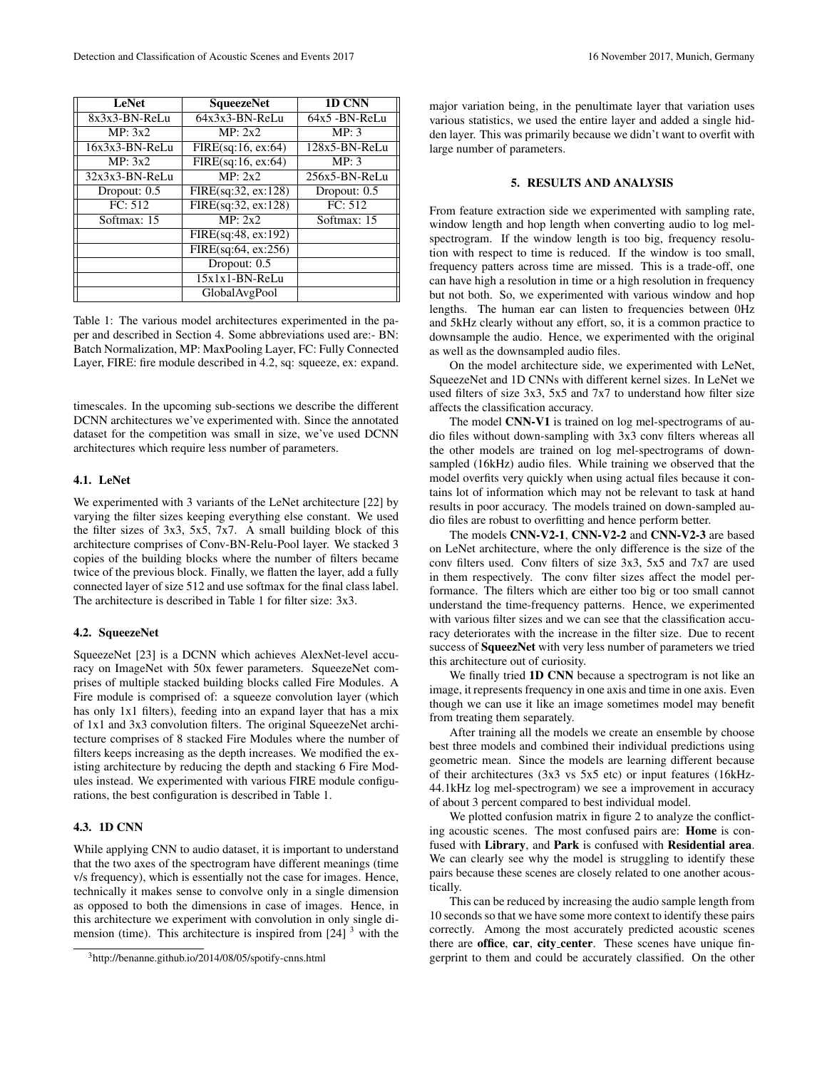| <b>LeNet</b>      | <b>SqueezeNet</b>   | 1D CNN         |  |  |
|-------------------|---------------------|----------------|--|--|
| 8x3x3-BN-ReLu     | $64x3x3-BN-ReLU$    | 64x5 - BN-ReLu |  |  |
| MP: 3x2           | MP: 2x2             | MP: 3          |  |  |
| $16x3x3-BN-Rel.u$ | FIRE(sq:16, ex:64)  | 128x5-BN-ReLu  |  |  |
| MP: 3x2           | FIRE(sq:16, ex:64)  | MP: 3          |  |  |
| $32x3x3-BN-ReLU$  | MP: 2x2             | 256x5-BN-ReLu  |  |  |
| Dropout: 0.5      | FIRE(sq:32, ex:128) | Dropout: 0.5   |  |  |
| FC: 512           | FIRE(sq:32, ex:128) | FC: 512        |  |  |
| Softmax: 15       | MP: 2x2             | Softmax: 15    |  |  |
|                   | FIRE(sq:48, ex:192) |                |  |  |
|                   | FIRE(sq:64, ex:256) |                |  |  |
|                   | Dropout: 0.5        |                |  |  |
|                   | $15x1x1-BN-ReLU$    |                |  |  |
|                   | GlobalAvgPool       |                |  |  |

Table 1: The various model architectures experimented in the paper and described in Section 4. Some abbreviations used are:- BN: Batch Normalization, MP: MaxPooling Layer, FC: Fully Connected Layer, FIRE: fire module described in 4.2, sq: squeeze, ex: expand.

timescales. In the upcoming sub-sections we describe the different DCNN architectures we've experimented with. Since the annotated dataset for the competition was small in size, we've used DCNN architectures which require less number of parameters.

## 4.1. LeNet

We experimented with 3 variants of the LeNet architecture [22] by varying the filter sizes keeping everything else constant. We used the filter sizes of 3x3, 5x5, 7x7. A small building block of this architecture comprises of Conv-BN-Relu-Pool layer. We stacked 3 copies of the building blocks where the number of filters became twice of the previous block. Finally, we flatten the layer, add a fully connected layer of size 512 and use softmax for the final class label. The architecture is described in Table 1 for filter size: 3x3.

### 4.2. SqueezeNet

SqueezeNet [23] is a DCNN which achieves AlexNet-level accuracy on ImageNet with 50x fewer parameters. SqueezeNet comprises of multiple stacked building blocks called Fire Modules. A Fire module is comprised of: a squeeze convolution layer (which has only 1x1 filters), feeding into an expand layer that has a mix of 1x1 and 3x3 convolution filters. The original SqueezeNet architecture comprises of 8 stacked Fire Modules where the number of filters keeps increasing as the depth increases. We modified the existing architecture by reducing the depth and stacking 6 Fire Modules instead. We experimented with various FIRE module configurations, the best configuration is described in Table 1.

## 4.3. 1D CNN

While applying CNN to audio dataset, it is important to understand that the two axes of the spectrogram have different meanings (time v/s frequency), which is essentially not the case for images. Hence, technically it makes sense to convolve only in a single dimension as opposed to both the dimensions in case of images. Hence, in this architecture we experiment with convolution in only single dimension (time). This architecture is inspired from  $[24]$ <sup>3</sup> with the major variation being, in the penultimate layer that variation uses various statistics, we used the entire layer and added a single hidden layer. This was primarily because we didn't want to overfit with large number of parameters.

# 5. RESULTS AND ANALYSIS

From feature extraction side we experimented with sampling rate, window length and hop length when converting audio to log melspectrogram. If the window length is too big, frequency resolution with respect to time is reduced. If the window is too small, frequency patters across time are missed. This is a trade-off, one can have high a resolution in time or a high resolution in frequency but not both. So, we experimented with various window and hop lengths. The human ear can listen to frequencies between 0Hz and 5kHz clearly without any effort, so, it is a common practice to downsample the audio. Hence, we experimented with the original as well as the downsampled audio files.

On the model architecture side, we experimented with LeNet, SqueezeNet and 1D CNNs with different kernel sizes. In LeNet we used filters of size 3x3, 5x5 and 7x7 to understand how filter size affects the classification accuracy.

The model CNN-V1 is trained on log mel-spectrograms of audio files without down-sampling with 3x3 conv filters whereas all the other models are trained on log mel-spectrograms of downsampled (16kHz) audio files. While training we observed that the model overfits very quickly when using actual files because it contains lot of information which may not be relevant to task at hand results in poor accuracy. The models trained on down-sampled audio files are robust to overfitting and hence perform better.

The models CNN-V2-1, CNN-V2-2 and CNN-V2-3 are based on LeNet architecture, where the only difference is the size of the conv filters used. Conv filters of size 3x3, 5x5 and 7x7 are used in them respectively. The conv filter sizes affect the model performance. The filters which are either too big or too small cannot understand the time-frequency patterns. Hence, we experimented with various filter sizes and we can see that the classification accuracy deteriorates with the increase in the filter size. Due to recent success of SqueezNet with very less number of parameters we tried this architecture out of curiosity.

We finally tried **1D CNN** because a spectrogram is not like an image, it represents frequency in one axis and time in one axis. Even though we can use it like an image sometimes model may benefit from treating them separately.

After training all the models we create an ensemble by choose best three models and combined their individual predictions using geometric mean. Since the models are learning different because of their architectures (3x3 vs 5x5 etc) or input features (16kHz-44.1kHz log mel-spectrogram) we see a improvement in accuracy of about 3 percent compared to best individual model.

We plotted confusion matrix in figure 2 to analyze the conflicting acoustic scenes. The most confused pairs are: Home is confused with Library, and Park is confused with Residential area. We can clearly see why the model is struggling to identify these pairs because these scenes are closely related to one another acoustically.

This can be reduced by increasing the audio sample length from 10 seconds so that we have some more context to identify these pairs correctly. Among the most accurately predicted acoustic scenes there are office, car, city\_center. These scenes have unique fingerprint to them and could be accurately classified. On the other

<sup>3</sup>http://benanne.github.io/2014/08/05/spotify-cnns.html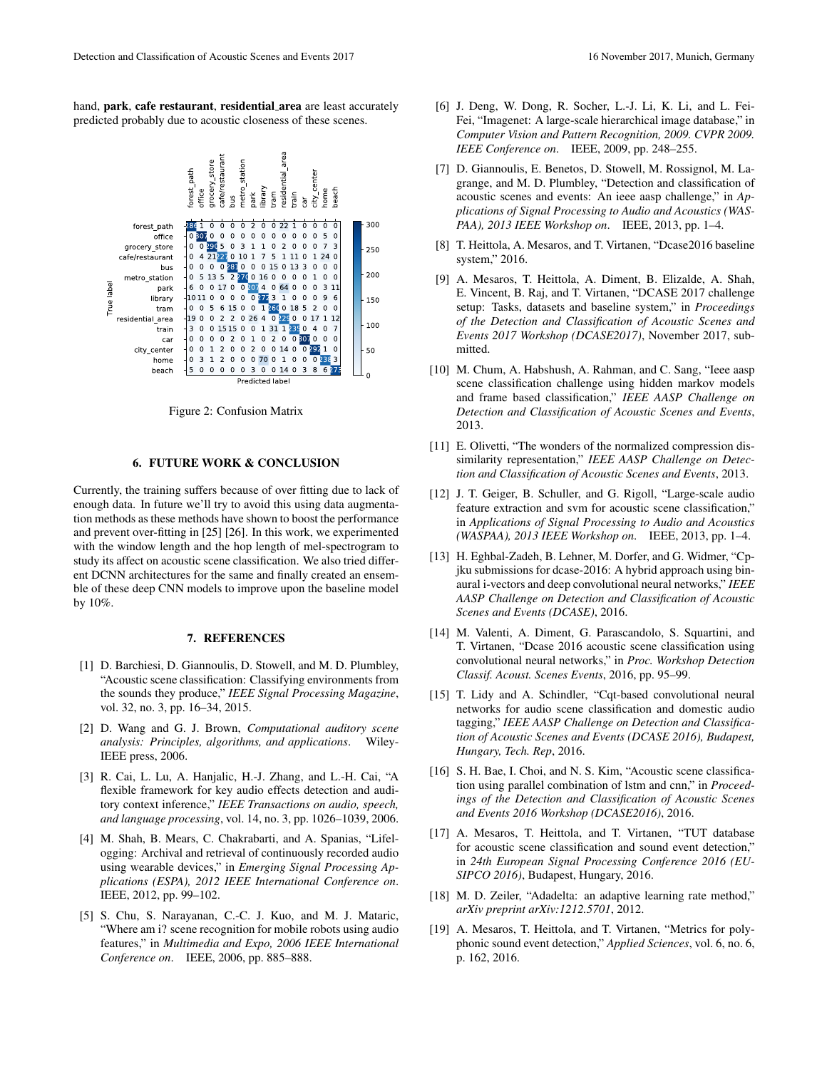hand, park, cafe restaurant, residential area are least accurately predicted probably due to acoustic closeness of these scenes.



Figure 2: Confusion Matrix

### 6. FUTURE WORK & CONCLUSION

Currently, the training suffers because of over fitting due to lack of enough data. In future we'll try to avoid this using data augmentation methods as these methods have shown to boost the performance and prevent over-fitting in [25] [26]. In this work, we experimented with the window length and the hop length of mel-spectrogram to study its affect on acoustic scene classification. We also tried different DCNN architectures for the same and finally created an ensemble of these deep CNN models to improve upon the baseline model by 10%.

### 7. REFERENCES

- [1] D. Barchiesi, D. Giannoulis, D. Stowell, and M. D. Plumbley, "Acoustic scene classification: Classifying environments from the sounds they produce," *IEEE Signal Processing Magazine*, vol. 32, no. 3, pp. 16–34, 2015.
- [2] D. Wang and G. J. Brown, *Computational auditory scene analysis: Principles, algorithms, and applications*. Wiley-IEEE press, 2006.
- [3] R. Cai, L. Lu, A. Hanjalic, H.-J. Zhang, and L.-H. Cai, "A flexible framework for key audio effects detection and auditory context inference," *IEEE Transactions on audio, speech, and language processing*, vol. 14, no. 3, pp. 1026–1039, 2006.
- [4] M. Shah, B. Mears, C. Chakrabarti, and A. Spanias, "Lifelogging: Archival and retrieval of continuously recorded audio using wearable devices," in *Emerging Signal Processing Applications (ESPA), 2012 IEEE International Conference on*. IEEE, 2012, pp. 99–102.
- [5] S. Chu, S. Narayanan, C.-C. J. Kuo, and M. J. Mataric, "Where am i? scene recognition for mobile robots using audio features," in *Multimedia and Expo, 2006 IEEE International Conference on*. IEEE, 2006, pp. 885–888.

[7] D. Giannoulis, E. Benetos, D. Stowell, M. Rossignol, M. Lagrange, and M. D. Plumbley, "Detection and classification of acoustic scenes and events: An ieee aasp challenge," in *Applications of Signal Processing to Audio and Acoustics (WAS-PAA), 2013 IEEE Workshop on*. IEEE, 2013, pp. 1–4.

*IEEE Conference on*. IEEE, 2009, pp. 248–255.

- [8] T. Heittola, A. Mesaros, and T. Virtanen, "Dcase2016 baseline system," 2016.
- [9] A. Mesaros, T. Heittola, A. Diment, B. Elizalde, A. Shah, E. Vincent, B. Raj, and T. Virtanen, "DCASE 2017 challenge setup: Tasks, datasets and baseline system," in *Proceedings of the Detection and Classification of Acoustic Scenes and Events 2017 Workshop (DCASE2017)*, November 2017, submitted.
- [10] M. Chum, A. Habshush, A. Rahman, and C. Sang, "Ieee aasp scene classification challenge using hidden markov models and frame based classification," *IEEE AASP Challenge on Detection and Classification of Acoustic Scenes and Events*, 2013.
- [11] E. Olivetti, "The wonders of the normalized compression dissimilarity representation," *IEEE AASP Challenge on Detection and Classification of Acoustic Scenes and Events*, 2013.
- [12] J. T. Geiger, B. Schuller, and G. Rigoll, "Large-scale audio" feature extraction and svm for acoustic scene classification," in *Applications of Signal Processing to Audio and Acoustics (WASPAA), 2013 IEEE Workshop on*. IEEE, 2013, pp. 1–4.
- [13] H. Eghbal-Zadeh, B. Lehner, M. Dorfer, and G. Widmer, "Cpjku submissions for dcase-2016: A hybrid approach using binaural i-vectors and deep convolutional neural networks," *IEEE AASP Challenge on Detection and Classification of Acoustic Scenes and Events (DCASE)*, 2016.
- [14] M. Valenti, A. Diment, G. Parascandolo, S. Squartini, and T. Virtanen, "Dcase 2016 acoustic scene classification using convolutional neural networks," in *Proc. Workshop Detection Classif. Acoust. Scenes Events*, 2016, pp. 95–99.
- [15] T. Lidy and A. Schindler, "Cqt-based convolutional neural networks for audio scene classification and domestic audio tagging," *IEEE AASP Challenge on Detection and Classification of Acoustic Scenes and Events (DCASE 2016), Budapest, Hungary, Tech. Rep*, 2016.
- [16] S. H. Bae, I. Choi, and N. S. Kim, "Acoustic scene classification using parallel combination of lstm and cnn," in *Proceedings of the Detection and Classification of Acoustic Scenes and Events 2016 Workshop (DCASE2016)*, 2016.
- [17] A. Mesaros, T. Heittola, and T. Virtanen, "TUT database for acoustic scene classification and sound event detection," in *24th European Signal Processing Conference 2016 (EU-SIPCO 2016)*, Budapest, Hungary, 2016.
- [18] M. D. Zeiler, "Adadelta: an adaptive learning rate method," *arXiv preprint arXiv:1212.5701*, 2012.
- [19] A. Mesaros, T. Heittola, and T. Virtanen, "Metrics for polyphonic sound event detection," *Applied Sciences*, vol. 6, no. 6, p. 162, 2016.